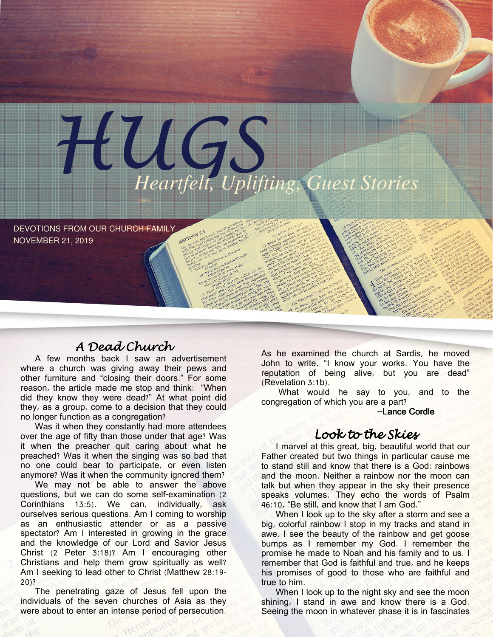

DEVOTIONS FROM OUR CHURCH FAMILY NOVEMBER 21, 2019

# A Dead Church

A few months back I saw an advertisement where a church was giving away their pews and other furniture and "closing their doors." For some reason, the article made me stop and think: "When did they know they were dead?" At what point did they, as a group, come to a decision that they could no longer function as a congregation?

Was it when they constantly had more attendees over the age of fifty than those under that age? Was it when the preacher quit caring about what he preached? Was it when the singing was so bad that no one could bear to participate, or even listen anymore? Was it when the community ignored them?

We may not be able to answer the above questions, but we can do some self-examination (2 Corinthians 13:5). We can, individually, ask ourselves serious questions. Am I coming to worship as an enthusiastic attender or as a passive spectator? Am I interested in growing in the grace and the knowledge of our Lord and Savior Jesus Christ (2 Peter 3:18)? Am I encouraging other Christians and help them grow spiritually as well? Am I seeking to lead other to Christ (Matthew 28:19- 20)?

The penetrating gaze of Jesus fell upon the individuals of the seven churches of Asia as they were about to enter an intense period of persecution.

As he examined the church at Sardis, he moved John to write, "I know your works. You have the reputation of being alive, but you are dead" (Revelation 3:1b).

What would he say to you, and to the congregation of which you are a part?

#### --Lance Cordle

## Look to the Skies

I marvel at this great, big, beautiful world that our Father created but two things in particular cause me to stand still and know that there is a God: rainbows and the moon. Neither a rainbow nor the moon can talk but when they appear in the sky their presence speaks volumes. They echo the words of Psalm 46:10, "Be still, and know that I am God."

When I look up to the sky after a storm and see a big, colorful rainbow I stop in my tracks and stand in awe. I see the beauty of the rainbow and get goose bumps as I remember my God. I remember the promise he made to Noah and his family and to us. I remember that God is faithful and true, and he keeps his promises of good to those who are faithful and true to him.

When I look up to the night sky and see the moon shining, I stand in awe and know there is a God. Seeing the moon in whatever phase it is in fascinates